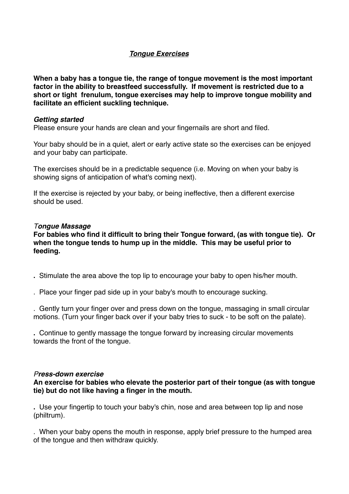## *Tongue Exercises*

**When a baby has a tongue tie, the range of tongue movement is the most important factor in the ability to breastfeed successfully. If movement is restricted due to a short or tight frenulum, tongue exercises may help to improve tongue mobility and facilitate an efficient suckling technique.**

### *Getting started*

Please ensure your hands are clean and your fingernails are short and filed.

Your baby should be in a quiet, alert or early active state so the exercises can be enjoyed and your baby can participate.

The exercises should be in a predictable sequence (i.e. Moving on when your baby is showing signs of anticipation of what's coming next).

If the exercise is rejected by your baby, or being ineffective, then a different exercise should be used.

#### *Tongue Massage*

**For babies who find it difficult to bring their Tongue forward, (as with tongue tie). Or when the tongue tends to hump up in the middle. This may be useful prior to feeding.**

- **.** Stimulate the area above the top lip to encourage your baby to open his/her mouth.
- . Place your finger pad side up in your baby's mouth to encourage sucking.

. Gently turn your finger over and press down on the tongue, massaging in small circular motions. (Turn your finger back over if your baby tries to suck - to be soft on the palate).

**.** Continue to gently massage the tongue forward by increasing circular movements towards the front of the tongue.

#### *Press-down exercise*

**An exercise for babies who elevate the posterior part of their tongue (as with tongue tie) but do not like having a finger in the mouth.**

**.** Use your fingertip to touch your baby's chin, nose and area between top lip and nose (philtrum).

. When your baby opens the mouth in response, apply brief pressure to the humped area of the tongue and then withdraw quickly.